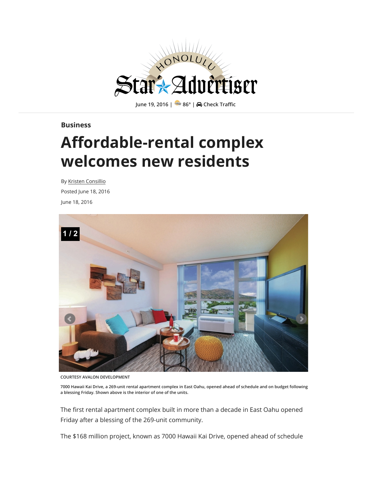

Business

## Affordable-rental complex welcomes new residents

By Kristen Consillio Po[sted June 18, 201](http://www.staradvertiser.com/author/kconsillio/)6 June 18, 2016



COURTESY AVALON DEVELOPMENT

7000 Hawaii Kai Drive, a 269-unit rental apartment complex in East Oahu, opened ahead of schedule and on budget following a blessing Friday. Shown above is the interior of one of the units.

The first rental apartment complex built in more than a decade in East Oahu opened Friday after a blessing of the 269-unit community.

The \$168 million project, known as 7000 Hawaii Kai Drive, opened ahead of schedule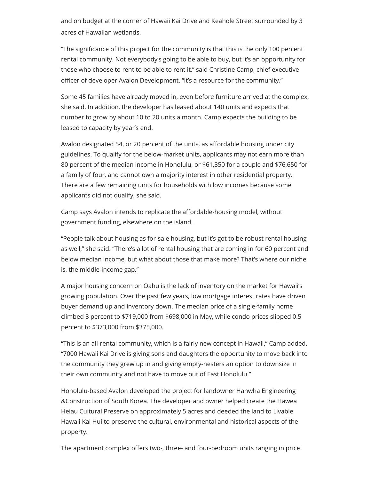and on budget at the corner of Hawaii Kai Drive and Keahole Street surrounded by 3 acres of Hawaiian wetlands.

"The significance of this project for the community is that this is the only 100 percent rental community. Not everybody's going to be able to buy, but it's an opportunity for those who choose to rent to be able to rent it," said Christine Camp, chief executive officer of developer Avalon Development. "It's a resource for the community."

Some 45 families have already moved in, even before furniture arrived at the complex, she said. In addition, the developer has leased about 140 units and expects that number to grow by about 10 to 20 units a month. Camp expects the building to be leased to capacity by year's end.

Avalon designated 54, or 20 percent of the units, as affordable housing under city guidelines. To qualify for the below-market units, applicants may not earn more than 80 percent of the median income in Honolulu, or \$61,350 for a couple and \$76,650 for a family of four, and cannot own a majority interest in other residential property. There are a few remaining units for households with low incomes because some applicants did not qualify, she said.

Camp says Avalon intends to replicate the affordable-housing model, without government funding, elsewhere on the island.

"People talk about housing as for-sale housing, but it's got to be robust rental housing as well," she said. "There's a lot of rental housing that are coming in for 60 percent and below median income, but what about those that make more? That's where our niche is, the middle-income gap."

A major housing concern on Oahu is the lack of inventory on the market for Hawaii's growing population. Over the past few years, low mortgage interest rates have driven buyer demand up and inventory down. The median price of a single-family home climbed 3 percent to \$719,000 from \$698,000 in May, while condo prices slipped 0.5 percent to \$373,000 from \$375,000.

"This is an all-rental community, which is a fairly new concept in Hawaii," Camp added. "7000 Hawaii Kai Drive is giving sons and daughters the opportunity to move back into the community they grew up in and giving empty-nesters an option to downsize in their own community and not have to move out of East Honolulu."

Honolulu-based Avalon developed the project for landowner Hanwha Engineering &Construction of South Korea. The developer and owner helped create the Hawea Heiau Cultural Preserve on approximately 5 acres and deeded the land to Livable Hawaii Kai Hui to preserve the cultural, environmental and historical aspects of the property.

The apartment complex offers two-, three- and four-bedroom units ranging in price